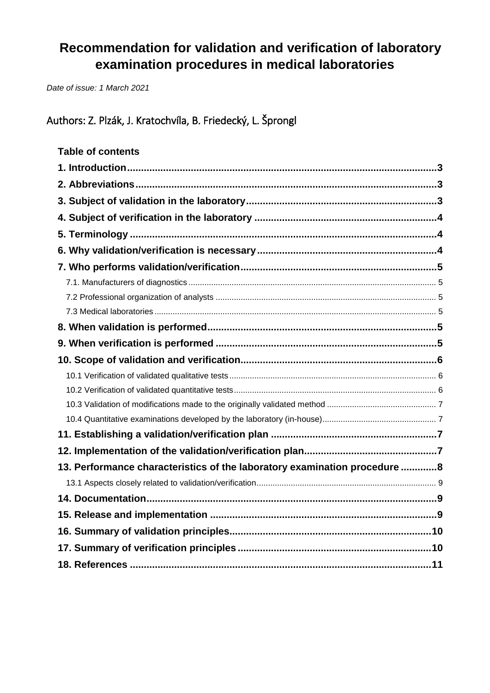# **Recommendation for validation and verification of laboratory examination procedures in medical laboratories**

*Date of issue: 1 March 2021*

Authors: Z. Plzák, J. Kratochvíla, B. Friedecký, L. Šprongl

# **Table of contents**

| 13. Performance characteristics of the laboratory examination procedure 8 |  |
|---------------------------------------------------------------------------|--|
|                                                                           |  |
|                                                                           |  |
|                                                                           |  |
|                                                                           |  |
|                                                                           |  |
|                                                                           |  |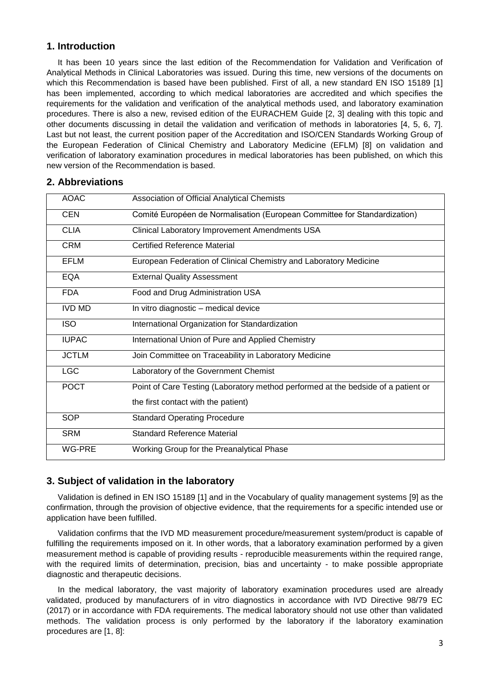## <span id="page-1-0"></span>**1. Introduction**

It has been 10 years since the last edition of the Recommendation for Validation and Verification of Analytical Methods in Clinical Laboratories was issued. During this time, new versions of the documents on which this Recommendation is based have been published. First of all, a new standard EN ISO 15189 [1] has been implemented, according to which medical laboratories are accredited and which specifies the requirements for the validation and verification of the analytical methods used, and laboratory examination procedures. There is also a new, revised edition of the EURACHEM Guide [2, 3] dealing with this topic and other documents discussing in detail the validation and verification of methods in laboratories [4, 5, 6, 7]. Last but not least, the current position paper of the Accreditation and ISO/CEN Standards Working Group of the European Federation of Clinical Chemistry and Laboratory Medicine (EFLM) [8] on validation and verification of laboratory examination procedures in medical laboratories has been published, on which this new version of the Recommendation is based.

# <span id="page-1-1"></span>**2. Abbreviations**

| <b>AOAC</b>   | Association of Official Analytical Chemists                                       |
|---------------|-----------------------------------------------------------------------------------|
| <b>CEN</b>    | Comité Européen de Normalisation (European Committee for Standardization)         |
| <b>CLIA</b>   | Clinical Laboratory Improvement Amendments USA                                    |
| <b>CRM</b>    | <b>Certified Reference Material</b>                                               |
| <b>EFLM</b>   | European Federation of Clinical Chemistry and Laboratory Medicine                 |
| <b>EQA</b>    | <b>External Quality Assessment</b>                                                |
| <b>FDA</b>    | Food and Drug Administration USA                                                  |
| <b>IVD MD</b> | In vitro diagnostic - medical device                                              |
| <b>ISO</b>    | International Organization for Standardization                                    |
| <b>IUPAC</b>  | International Union of Pure and Applied Chemistry                                 |
| <b>JCTLM</b>  | Join Committee on Traceability in Laboratory Medicine                             |
| <b>LGC</b>    | Laboratory of the Government Chemist                                              |
| <b>POCT</b>   | Point of Care Testing (Laboratory method performed at the bedside of a patient or |
|               | the first contact with the patient)                                               |
| <b>SOP</b>    | <b>Standard Operating Procedure</b>                                               |
| <b>SRM</b>    | <b>Standard Reference Material</b>                                                |
| WG-PRE        | Working Group for the Preanalytical Phase                                         |

# <span id="page-1-2"></span>**3. Subject of validation in the laboratory**

Validation is defined in EN ISO 15189 [1] and in the Vocabulary of quality management systems [9] as the confirmation, through the provision of objective evidence, that the requirements for a specific intended use or application have been fulfilled.

Validation confirms that the IVD MD measurement procedure/measurement system/product is capable of fulfilling the requirements imposed on it. In other words, that a laboratory examination performed by a given measurement method is capable of providing results - reproducible measurements within the required range, with the required limits of determination, precision, bias and uncertainty - to make possible appropriate diagnostic and therapeutic decisions.

In the medical laboratory, the vast majority of laboratory examination procedures used are already validated, produced by manufacturers of in vitro diagnostics in accordance with IVD Directive 98/79 EC (2017) or in accordance with FDA requirements. The medical laboratory should not use other than validated methods. The validation process is only performed by the laboratory if the laboratory examination procedures are [1, 8]: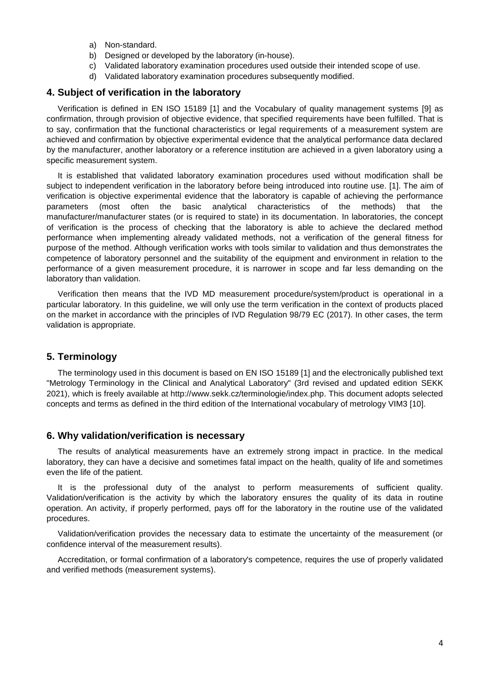- a) Non-standard.
- b) Designed or developed by the laboratory (in-house).
- c) Validated laboratory examination procedures used outside their intended scope of use.
- d) Validated laboratory examination procedures subsequently modified.

## <span id="page-2-0"></span>**4. Subject of verification in the laboratory**

Verification is defined in EN ISO 15189 [1] and the Vocabulary of quality management systems [9] as confirmation, through provision of objective evidence, that specified requirements have been fulfilled. That is to say, confirmation that the functional characteristics or legal requirements of a measurement system are achieved and confirmation by objective experimental evidence that the analytical performance data declared by the manufacturer, another laboratory or a reference institution are achieved in a given laboratory using a specific measurement system.

It is established that validated laboratory examination procedures used without modification shall be subject to independent verification in the laboratory before being introduced into routine use. [1]. The aim of verification is objective experimental evidence that the laboratory is capable of achieving the performance parameters (most often the basic analytical characteristics of the methods) that the manufacturer/manufacturer states (or is required to state) in its documentation. In laboratories, the concept of verification is the process of checking that the laboratory is able to achieve the declared method performance when implementing already validated methods, not a verification of the general fitness for purpose of the method. Although verification works with tools similar to validation and thus demonstrates the competence of laboratory personnel and the suitability of the equipment and environment in relation to the performance of a given measurement procedure, it is narrower in scope and far less demanding on the laboratory than validation.

Verification then means that the IVD MD measurement procedure/system/product is operational in a particular laboratory. In this guideline, we will only use the term verification in the context of products placed on the market in accordance with the principles of IVD Regulation 98/79 EC (2017). In other cases, the term validation is appropriate.

## <span id="page-2-1"></span>**5. Terminology**

The terminology used in this document is based on EN ISO 15189 [1] and the electronically published text "Metrology Terminology in the Clinical and Analytical Laboratory" (3rd revised and updated edition SEKK 2021), which is freely available at http://www.sekk.cz/terminologie/index.php. This document adopts selected concepts and terms as defined in the third edition of the International vocabulary of metrology VIM3 [10].

#### <span id="page-2-2"></span>**6. Why validation/verification is necessary**

The results of analytical measurements have an extremely strong impact in practice. In the medical laboratory, they can have a decisive and sometimes fatal impact on the health, quality of life and sometimes even the life of the patient.

It is the professional duty of the analyst to perform measurements of sufficient quality. Validation/verification is the activity by which the laboratory ensures the quality of its data in routine operation. An activity, if properly performed, pays off for the laboratory in the routine use of the validated procedures.

Validation/verification provides the necessary data to estimate the uncertainty of the measurement (or confidence interval of the measurement results).

Accreditation, or formal confirmation of a laboratory's competence, requires the use of properly validated and verified methods (measurement systems).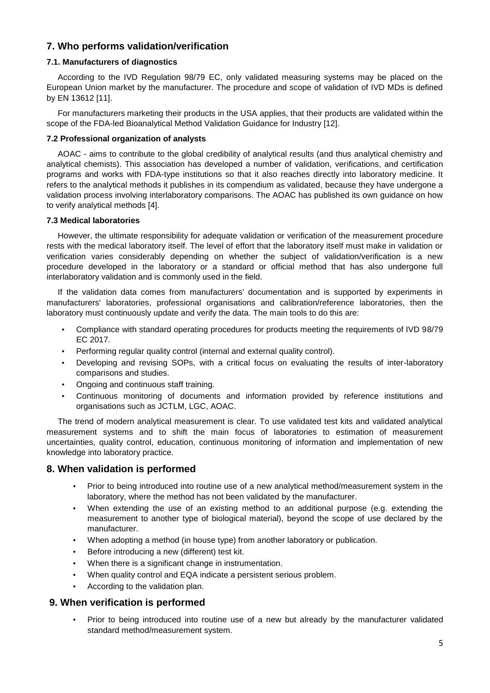# <span id="page-3-0"></span>**7. Who performs validation/verification**

#### <span id="page-3-1"></span>**7.1. Manufacturers of diagnostics**

According to the IVD Regulation 98/79 EC, only validated measuring systems may be placed on the European Union market by the manufacturer. The procedure and scope of validation of IVD MDs is defined by EN 13612 [11].

For manufacturers marketing their products in the USA applies, that their products are validated within the scope of the FDA-led Bioanalytical Method Validation Guidance for Industry [12].

#### <span id="page-3-2"></span>**7.2 Professional organization of analysts**

AOAC - aims to contribute to the global credibility of analytical results (and thus analytical chemistry and analytical chemists). This association has developed a number of validation, verifications, and certification programs and works with FDA-type institutions so that it also reaches directly into laboratory medicine. It refers to the analytical methods it publishes in its compendium as validated, because they have undergone a validation process involving interlaboratory comparisons. The AOAC has published its own guidance on how to verify analytical methods [4].

#### <span id="page-3-3"></span>**7.3 Medical laboratories**

However, the ultimate responsibility for adequate validation or verification of the measurement procedure rests with the medical laboratory itself. The level of effort that the laboratory itself must make in validation or verification varies considerably depending on whether the subject of validation/verification is a new procedure developed in the laboratory or a standard or official method that has also undergone full interlaboratory validation and is commonly used in the field.

If the validation data comes from manufacturers' documentation and is supported by experiments in manufacturers' laboratories, professional organisations and calibration/reference laboratories, then the laboratory must continuously update and verify the data. The main tools to do this are:

- Compliance with standard operating procedures for products meeting the requirements of IVD 98/79 EC 2017.
- Performing regular quality control (internal and external quality control).
- Developing and revising SOPs, with a critical focus on evaluating the results of inter-laboratory comparisons and studies.
- Ongoing and continuous staff training.
- Continuous monitoring of documents and information provided by reference institutions and organisations such as JCTLM, LGC, AOAC.

The trend of modern analytical measurement is clear. To use validated test kits and validated analytical measurement systems and to shift the main focus of laboratories to estimation of measurement uncertainties, quality control, education, continuous monitoring of information and implementation of new knowledge into laboratory practice.

# <span id="page-3-4"></span>**8. When validation is performed**

- Prior to being introduced into routine use of a new analytical method/measurement system in the laboratory, where the method has not been validated by the manufacturer.
- When extending the use of an existing method to an additional purpose (e.g. extending the measurement to another type of biological material), beyond the scope of use declared by the manufacturer.
- When adopting a method (in house type) from another laboratory or publication.
- Before introducing a new (different) test kit.
- When there is a significant change in instrumentation.
- When quality control and EQA indicate a persistent serious problem.
- According to the validation plan.

# <span id="page-3-5"></span>**9. When verification is performed**

• Prior to being introduced into routine use of a new but already by the manufacturer validated standard method/measurement system.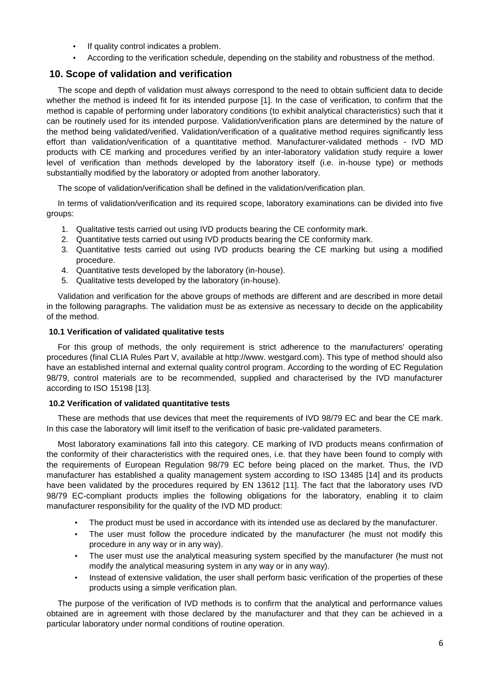- If quality control indicates a problem.
- According to the verification schedule, depending on the stability and robustness of the method.

# <span id="page-4-0"></span>**10. Scope of validation and verification**

The scope and depth of validation must always correspond to the need to obtain sufficient data to decide whether the method is indeed fit for its intended purpose [1]. In the case of verification, to confirm that the method is capable of performing under laboratory conditions (to exhibit analytical characteristics) such that it can be routinely used for its intended purpose. Validation/verification plans are determined by the nature of the method being validated/verified. Validation/verification of a qualitative method requires significantly less effort than validation/verification of a quantitative method. Manufacturer-validated methods - IVD MD products with CE marking and procedures verified by an inter-laboratory validation study require a lower level of verification than methods developed by the laboratory itself (i.e. in-house type) or methods substantially modified by the laboratory or adopted from another laboratory.

The scope of validation/verification shall be defined in the validation/verification plan.

In terms of validation/verification and its required scope, laboratory examinations can be divided into five groups:

- 1. Qualitative tests carried out using IVD products bearing the CE conformity mark.
- 2. Quantitative tests carried out using IVD products bearing the CE conformity mark.
- 3. Quantitative tests carried out using IVD products bearing the CE marking but using a modified procedure.
- 4. Quantitative tests developed by the laboratory (in-house).
- 5. Qualitative tests developed by the laboratory (in-house).

Validation and verification for the above groups of methods are different and are described in more detail in the following paragraphs. The validation must be as extensive as necessary to decide on the applicability of the method.

#### <span id="page-4-1"></span>**10.1 Verification of validated qualitative tests**

For this group of methods, the only requirement is strict adherence to the manufacturers' operating procedures (final CLIA Rules Part V, available at http://www. westgard.com). This type of method should also have an established internal and external quality control program. According to the wording of EC Regulation 98/79, control materials are to be recommended, supplied and characterised by the IVD manufacturer according to ISO 15198 [13].

#### <span id="page-4-2"></span>**10.2 Verification of validated quantitative tests**

These are methods that use devices that meet the requirements of IVD 98/79 EC and bear the CE mark. In this case the laboratory will limit itself to the verification of basic pre-validated parameters.

Most laboratory examinations fall into this category. CE marking of IVD products means confirmation of the conformity of their characteristics with the required ones, i.e. that they have been found to comply with the requirements of European Regulation 98/79 EC before being placed on the market. Thus, the IVD manufacturer has established a quality management system according to ISO 13485 [14] and its products have been validated by the procedures required by EN 13612 [11]. The fact that the laboratory uses IVD 98/79 EC-compliant products implies the following obligations for the laboratory, enabling it to claim manufacturer responsibility for the quality of the IVD MD product:

- The product must be used in accordance with its intended use as declared by the manufacturer.
- The user must follow the procedure indicated by the manufacturer (he must not modify this procedure in any way or in any way).
- The user must use the analytical measuring system specified by the manufacturer (he must not modify the analytical measuring system in any way or in any way).
- Instead of extensive validation, the user shall perform basic verification of the properties of these products using a simple verification plan.

The purpose of the verification of IVD methods is to confirm that the analytical and performance values obtained are in agreement with those declared by the manufacturer and that they can be achieved in a particular laboratory under normal conditions of routine operation.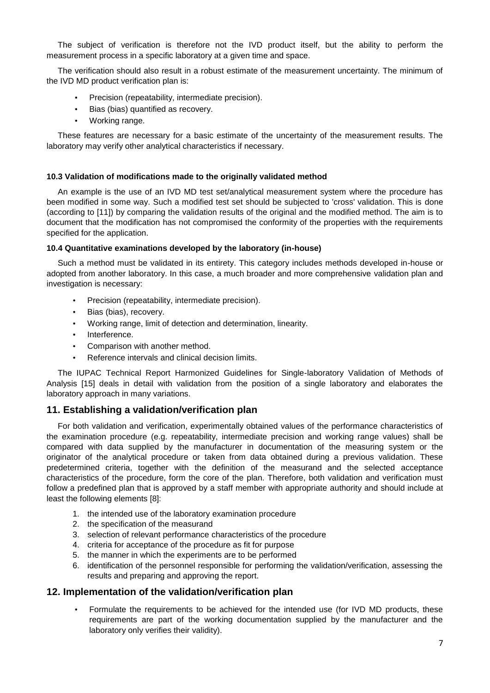The subject of verification is therefore not the IVD product itself, but the ability to perform the measurement process in a specific laboratory at a given time and space.

The verification should also result in a robust estimate of the measurement uncertainty. The minimum of the IVD MD product verification plan is:

- Precision (repeatability, intermediate precision).
- Bias (bias) quantified as recovery.
- Working range.

These features are necessary for a basic estimate of the uncertainty of the measurement results. The laboratory may verify other analytical characteristics if necessary.

#### <span id="page-5-0"></span>**10.3 Validation of modifications made to the originally validated method**

An example is the use of an IVD MD test set/analytical measurement system where the procedure has been modified in some way. Such a modified test set should be subjected to 'cross' validation. This is done (according to [11]) by comparing the validation results of the original and the modified method. The aim is to document that the modification has not compromised the conformity of the properties with the requirements specified for the application.

#### <span id="page-5-1"></span>**10.4 Quantitative examinations developed by the laboratory (in-house)**

Such a method must be validated in its entirety. This category includes methods developed in-house or adopted from another laboratory. In this case, a much broader and more comprehensive validation plan and investigation is necessary:

- Precision (repeatability, intermediate precision).
- Bias (bias), recovery.
- Working range, limit of detection and determination, linearity.
- Interference.
- Comparison with another method.
- Reference intervals and clinical decision limits.

The IUPAC Technical Report Harmonized Guidelines for Single-laboratory Validation of Methods of Analysis [15] deals in detail with validation from the position of a single laboratory and elaborates the laboratory approach in many variations.

## <span id="page-5-2"></span>**11. Establishing a validation/verification plan**

For both validation and verification, experimentally obtained values of the performance characteristics of the examination procedure (e.g. repeatability, intermediate precision and working range values) shall be compared with data supplied by the manufacturer in documentation of the measuring system or the originator of the analytical procedure or taken from data obtained during a previous validation. These predetermined criteria, together with the definition of the measurand and the selected acceptance characteristics of the procedure, form the core of the plan. Therefore, both validation and verification must follow a predefined plan that is approved by a staff member with appropriate authority and should include at least the following elements [8]:

- 1. the intended use of the laboratory examination procedure
- 2. the specification of the measurand
- 3. selection of relevant performance characteristics of the procedure
- 4. criteria for acceptance of the procedure as fit for purpose
- 5. the manner in which the experiments are to be performed
- 6. identification of the personnel responsible for performing the validation/verification, assessing the results and preparing and approving the report.

## <span id="page-5-3"></span>**12. Implementation of the validation/verification plan**

• Formulate the requirements to be achieved for the intended use (for IVD MD products, these requirements are part of the working documentation supplied by the manufacturer and the laboratory only verifies their validity).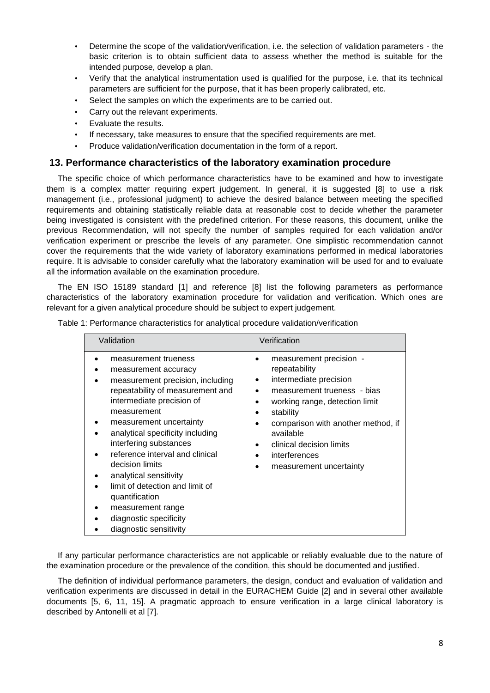- Determine the scope of the validation/verification, i.e. the selection of validation parameters the basic criterion is to obtain sufficient data to assess whether the method is suitable for the intended purpose, develop a plan.
- Verify that the analytical instrumentation used is qualified for the purpose, i.e. that its technical parameters are sufficient for the purpose, that it has been properly calibrated, etc.
- Select the samples on which the experiments are to be carried out.
- Carry out the relevant experiments.
- Evaluate the results.
- If necessary, take measures to ensure that the specified requirements are met.
- Produce validation/verification documentation in the form of a report.

#### <span id="page-6-0"></span>**13. Performance characteristics of the laboratory examination procedure**

The specific choice of which performance characteristics have to be examined and how to investigate them is a complex matter requiring expert judgement. In general, it is suggested [8] to use a risk management (i.e., professional judgment) to achieve the desired balance between meeting the specified requirements and obtaining statistically reliable data at reasonable cost to decide whether the parameter being investigated is consistent with the predefined criterion. For these reasons, this document, unlike the previous Recommendation, will not specify the number of samples required for each validation and/or verification experiment or prescribe the levels of any parameter. One simplistic recommendation cannot cover the requirements that the wide variety of laboratory examinations performed in medical laboratories require. It is advisable to consider carefully what the laboratory examination will be used for and to evaluate all the information available on the examination procedure.

The EN ISO 15189 standard [1] and reference [8] list the following parameters as performance characteristics of the laboratory examination procedure for validation and verification. Which ones are relevant for a given analytical procedure should be subject to expert judgement.

| Validation                                                                                                                                                                                                                                                                                                                                                                                                                                                              | Verification                                                                                                                                                                                                                                                                                  |  |
|-------------------------------------------------------------------------------------------------------------------------------------------------------------------------------------------------------------------------------------------------------------------------------------------------------------------------------------------------------------------------------------------------------------------------------------------------------------------------|-----------------------------------------------------------------------------------------------------------------------------------------------------------------------------------------------------------------------------------------------------------------------------------------------|--|
| measurement trueness<br>measurement accuracy<br>measurement precision, including<br>repeatability of measurement and<br>intermediate precision of<br>measurement<br>measurement uncertainty<br>analytical specificity including<br>interfering substances<br>reference interval and clinical<br>decision limits<br>analytical sensitivity<br>limit of detection and limit of<br>quantification<br>measurement range<br>diagnostic specificity<br>diagnostic sensitivity | measurement precision -<br>repeatability<br>intermediate precision<br>٠<br>measurement trueness - bias<br>working range, detection limit<br>stability<br>comparison with another method, if<br>$\bullet$<br>available<br>clinical decision limits<br>interferences<br>measurement uncertainty |  |

Table 1: Performance characteristics for analytical procedure validation/verification

If any particular performance characteristics are not applicable or reliably evaluable due to the nature of the examination procedure or the prevalence of the condition, this should be documented and justified.

The definition of individual performance parameters, the design, conduct and evaluation of validation and verification experiments are discussed in detail in the EURACHEM Guide [2] and in several other available documents [5, 6, 11, 15]. A pragmatic approach to ensure verification in a large clinical laboratory is described by Antonelli et al [7].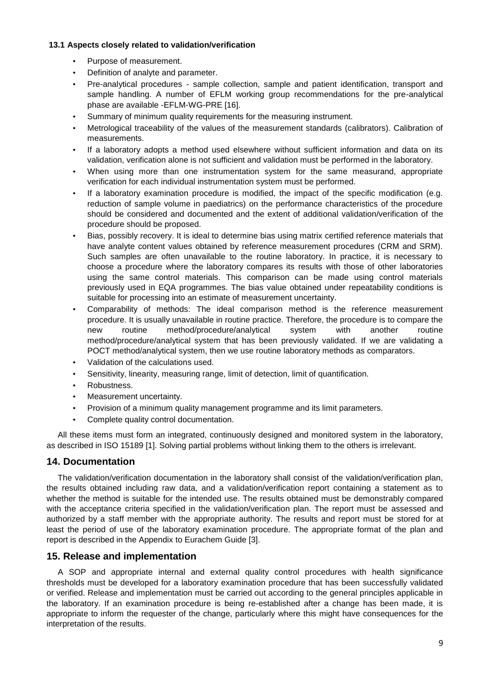#### <span id="page-7-0"></span>**13.1 Aspects closely related to validation/verification**

- Purpose of measurement.
- Definition of analyte and parameter.
- Pre-analytical procedures sample collection, sample and patient identification, transport and sample handling. A number of EFLM working group recommendations for the pre-analytical phase are available -EFLM-WG-PRE [16].
- Summary of minimum quality requirements for the measuring instrument.
- Metrological traceability of the values of the measurement standards (calibrators). Calibration of measurements.
- If a laboratory adopts a method used elsewhere without sufficient information and data on its validation, verification alone is not sufficient and validation must be performed in the laboratory.
- When using more than one instrumentation system for the same measurand, appropriate verification for each individual instrumentation system must be performed.
- If a laboratory examination procedure is modified, the impact of the specific modification (e.g. reduction of sample volume in paediatrics) on the performance characteristics of the procedure should be considered and documented and the extent of additional validation/verification of the procedure should be proposed.
- Bias, possibly recovery. It is ideal to determine bias using matrix certified reference materials that have analyte content values obtained by reference measurement procedures (CRM and SRM). Such samples are often unavailable to the routine laboratory. In practice, it is necessary to choose a procedure where the laboratory compares its results with those of other laboratories using the same control materials. This comparison can be made using control materials previously used in EQA programmes. The bias value obtained under repeatability conditions is suitable for processing into an estimate of measurement uncertainty.
- Comparability of methods: The ideal comparison method is the reference measurement procedure. It is usually unavailable in routine practice. Therefore, the procedure is to compare the new routine method/procedure/analytical system with another routine method/procedure/analytical system that has been previously validated. If we are validating a POCT method/analytical system, then we use routine laboratory methods as comparators.
- Validation of the calculations used.
- Sensitivity, linearity, measuring range, limit of detection, limit of quantification.
- Robustness.
- Measurement uncertainty.
- Provision of a minimum quality management programme and its limit parameters.
- Complete quality control documentation.

All these items must form an integrated, continuously designed and monitored system in the laboratory, as described in ISO 15189 [1]. Solving partial problems without linking them to the others is irrelevant.

## <span id="page-7-1"></span>**14. Documentation**

The validation/verification documentation in the laboratory shall consist of the validation/verification plan, the results obtained including raw data, and a validation/verification report containing a statement as to whether the method is suitable for the intended use. The results obtained must be demonstrably compared with the acceptance criteria specified in the validation/verification plan. The report must be assessed and authorized by a staff member with the appropriate authority. The results and report must be stored for at least the period of use of the laboratory examination procedure. The appropriate format of the plan and report is described in the Appendix to Eurachem Guide [3].

## <span id="page-7-2"></span>**15. Release and implementation**

A SOP and appropriate internal and external quality control procedures with health significance thresholds must be developed for a laboratory examination procedure that has been successfully validated or verified. Release and implementation must be carried out according to the general principles applicable in the laboratory. If an examination procedure is being re-established after a change has been made, it is appropriate to inform the requester of the change, particularly where this might have consequences for the interpretation of the results.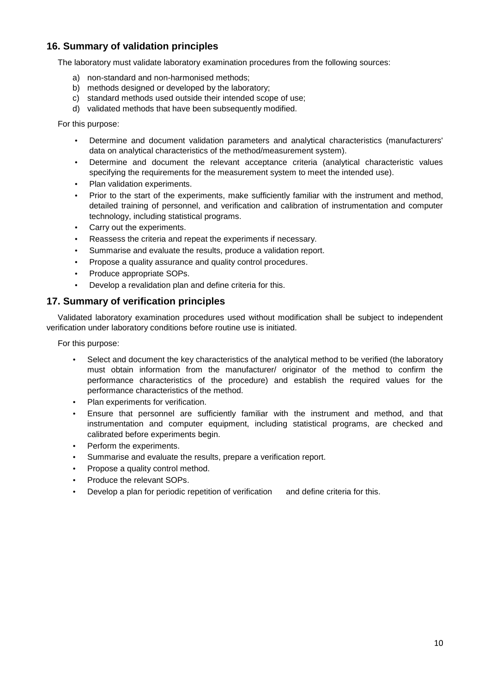# <span id="page-8-0"></span>**16. Summary of validation principles**

The laboratory must validate laboratory examination procedures from the following sources:

- a) non-standard and non-harmonised methods;
- b) methods designed or developed by the laboratory:
- c) standard methods used outside their intended scope of use;
- d) validated methods that have been subsequently modified.

For this purpose:

- Determine and document validation parameters and analytical characteristics (manufacturers' data on analytical characteristics of the method/measurement system).
- Determine and document the relevant acceptance criteria (analytical characteristic values specifying the requirements for the measurement system to meet the intended use).
- Plan validation experiments.
- Prior to the start of the experiments, make sufficiently familiar with the instrument and method, detailed training of personnel, and verification and calibration of instrumentation and computer technology, including statistical programs.
- Carry out the experiments.
- Reassess the criteria and repeat the experiments if necessary.
- Summarise and evaluate the results, produce a validation report.
- Propose a quality assurance and quality control procedures.
- Produce appropriate SOPs.
- Develop a revalidation plan and define criteria for this.

# <span id="page-8-1"></span>**17. Summary of verification principles**

Validated laboratory examination procedures used without modification shall be subject to independent verification under laboratory conditions before routine use is initiated.

For this purpose:

- Select and document the key characteristics of the analytical method to be verified (the laboratory must obtain information from the manufacturer/ originator of the method to confirm the performance characteristics of the procedure) and establish the required values for the performance characteristics of the method.
- Plan experiments for verification.
- Ensure that personnel are sufficiently familiar with the instrument and method, and that instrumentation and computer equipment, including statistical programs, are checked and calibrated before experiments begin.
- Perform the experiments.
- Summarise and evaluate the results, prepare a verification report.
- Propose a quality control method.
- Produce the relevant SOPs.
- Develop a plan for periodic repetition of verification and define criteria for this.